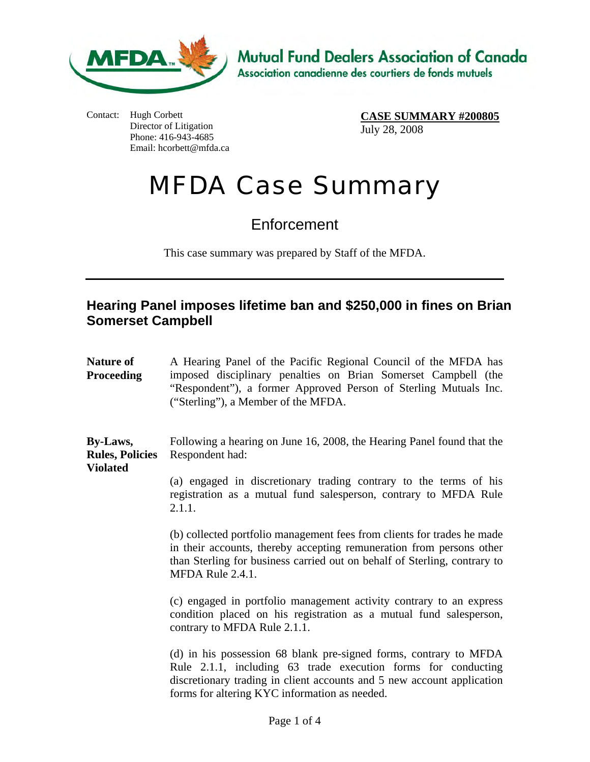

Contact: Hugh Corbett Director of Litigation Phone: 416-943-4685 Email: hcorbett@mfda.ca

**CASE SUMMARY #200805** July 28, 2008

## MFDA Case Summary

**Enforcement** 

This case summary was prepared by Staff of the MFDA.

## **Hearing Panel imposes lifetime ban and \$250,000 in fines on Brian Somerset Campbell**

**Nature of Proceeding**  A Hearing Panel of the Pacific Regional Council of the MFDA has imposed disciplinary penalties on Brian Somerset Campbell (the "Respondent"), a former Approved Person of Sterling Mutuals Inc. ("Sterling"), a Member of the MFDA.

**By-Laws, Rules, Policies Violated**  Following a hearing on June 16, 2008, the Hearing Panel found that the Respondent had:

> (a) engaged in discretionary trading contrary to the terms of his registration as a mutual fund salesperson, contrary to MFDA Rule 2.1.1.

> (b) collected portfolio management fees from clients for trades he made in their accounts, thereby accepting remuneration from persons other than Sterling for business carried out on behalf of Sterling, contrary to MFDA Rule 2.4.1.

> (c) engaged in portfolio management activity contrary to an express condition placed on his registration as a mutual fund salesperson, contrary to MFDA Rule 2.1.1.

> (d) in his possession 68 blank pre-signed forms, contrary to MFDA Rule 2.1.1, including 63 trade execution forms for conducting discretionary trading in client accounts and 5 new account application forms for altering KYC information as needed.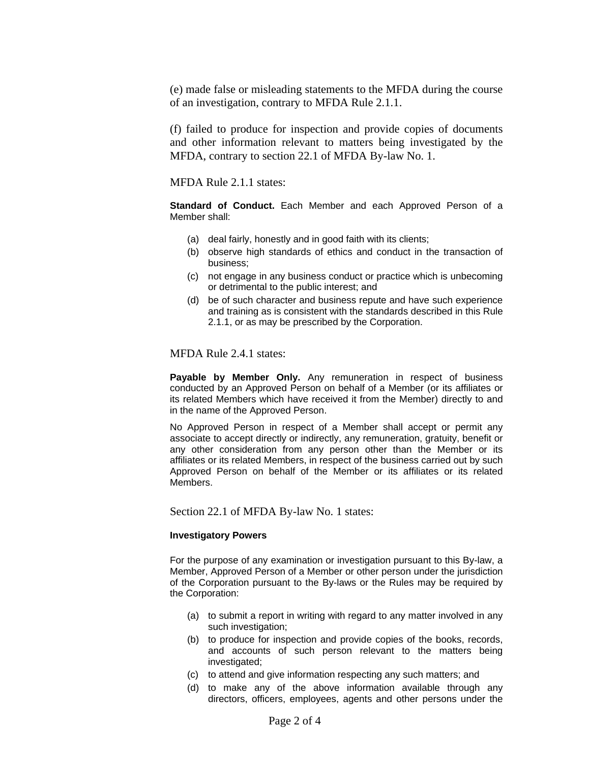(e) made false or misleading statements to the MFDA during the course of an investigation, contrary to MFDA Rule 2.1.1.

(f) failed to produce for inspection and provide copies of documents and other information relevant to matters being investigated by the MFDA, contrary to section 22.1 of MFDA By-law No. 1.

MFDA Rule 2.1.1 states:

**Standard of Conduct.** Each Member and each Approved Person of a Member shall:

- (a) deal fairly, honestly and in good faith with its clients;
- (b) observe high standards of ethics and conduct in the transaction of business;
- (c) not engage in any business conduct or practice which is unbecoming or detrimental to the public interest; and
- (d) be of such character and business repute and have such experience and training as is consistent with the standards described in this Rule 2.1.1, or as may be prescribed by the Corporation.

MFDA Rule 2.4.1 states:

**Payable by Member Only.** Any remuneration in respect of business conducted by an Approved Person on behalf of a Member (or its affiliates or its related Members which have received it from the Member) directly to and in the name of the Approved Person.

No Approved Person in respect of a Member shall accept or permit any associate to accept directly or indirectly, any remuneration, gratuity, benefit or any other consideration from any person other than the Member or its affiliates or its related Members, in respect of the business carried out by such Approved Person on behalf of the Member or its affiliates or its related Members.

Section 22.1 of MFDA By-law No. 1 states:

## **Investigatory Powers**

For the purpose of any examination or investigation pursuant to this By-law, a Member, Approved Person of a Member or other person under the jurisdiction of the Corporation pursuant to the By-laws or the Rules may be required by the Corporation:

- (a) to submit a report in writing with regard to any matter involved in any such investigation;
- (b) to produce for inspection and provide copies of the books, records, and accounts of such person relevant to the matters being investigated;
- (c) to attend and give information respecting any such matters; and
- (d) to make any of the above information available through any directors, officers, employees, agents and other persons under the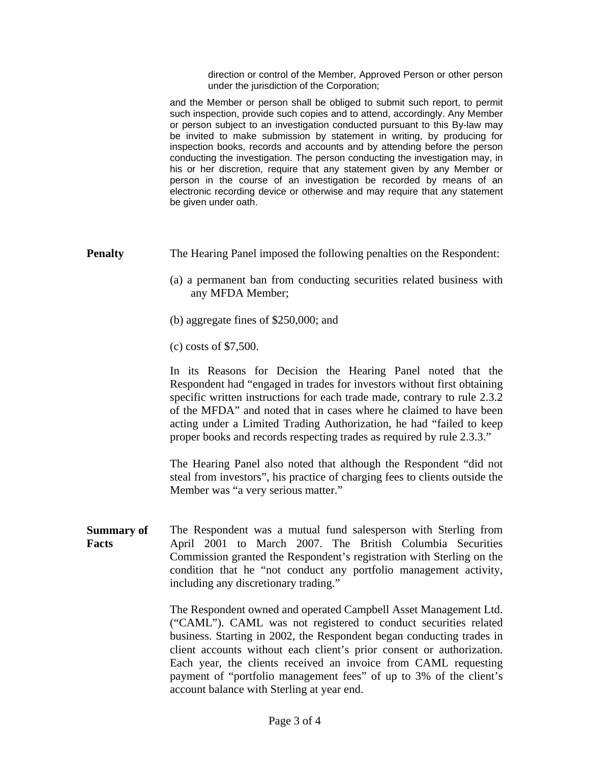direction or control of the Member, Approved Person or other person under the jurisdiction of the Corporation;

and the Member or person shall be obliged to submit such report, to permit such inspection, provide such copies and to attend, accordingly. Any Member or person subject to an investigation conducted pursuant to this By-law may be invited to make submission by statement in writing, by producing for inspection books, records and accounts and by attending before the person conducting the investigation. The person conducting the investigation may, in his or her discretion, require that any statement given by any Member or person in the course of an investigation be recorded by means of an electronic recording device or otherwise and may require that any statement be given under oath.

- **Penalty** The Hearing Panel imposed the following penalties on the Respondent:
	- (a) a permanent ban from conducting securities related business with any MFDA Member;
	- (b) aggregate fines of \$250,000; and
	- (c) costs of \$7,500.

In its Reasons for Decision the Hearing Panel noted that the Respondent had "engaged in trades for investors without first obtaining specific written instructions for each trade made, contrary to rule 2.3.2 of the MFDA" and noted that in cases where he claimed to have been acting under a Limited Trading Authorization, he had "failed to keep proper books and records respecting trades as required by rule 2.3.3."

The Hearing Panel also noted that although the Respondent "did not steal from investors", his practice of charging fees to clients outside the Member was "a very serious matter."

**Summary of Facts**  The Respondent was a mutual fund salesperson with Sterling from April 2001 to March 2007. The British Columbia Securities Commission granted the Respondent's registration with Sterling on the condition that he "not conduct any portfolio management activity, including any discretionary trading."

> The Respondent owned and operated Campbell Asset Management Ltd. ("CAML"). CAML was not registered to conduct securities related business. Starting in 2002, the Respondent began conducting trades in client accounts without each client's prior consent or authorization. Each year, the clients received an invoice from CAML requesting payment of "portfolio management fees" of up to 3% of the client's account balance with Sterling at year end.